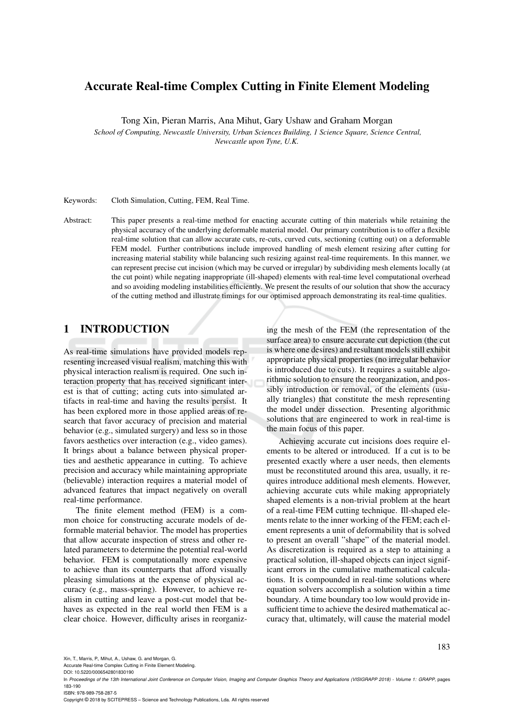# Accurate Real-time Complex Cutting in Finite Element Modeling

Tong Xin, Pieran Marris, Ana Mihut, Gary Ushaw and Graham Morgan

*School of Computing, Newcastle University, Urban Sciences Building, 1 Science Square, Science Central, Newcastle upon Tyne, U.K.*

Keywords: Cloth Simulation, Cutting, FEM, Real Time.

Abstract: This paper presents a real-time method for enacting accurate cutting of thin materials while retaining the physical accuracy of the underlying deformable material model. Our primary contribution is to offer a flexible real-time solution that can allow accurate cuts, re-cuts, curved cuts, sectioning (cutting out) on a deformable FEM model. Further contributions include improved handling of mesh element resizing after cutting for increasing material stability while balancing such resizing against real-time requirements. In this manner, we can represent precise cut incision (which may be curved or irregular) by subdividing mesh elements locally (at the cut point) while negating inappropriate (ill-shaped) elements with real-time level computational overhead and so avoiding modeling instabilities efficiently. We present the results of our solution that show the accuracy of the cutting method and illustrate timings for our optimised approach demonstrating its real-time qualities.

## 1 INTRODUCTION

As real-time simulations have provided models representing increased visual realism, matching this with physical interaction realism is required. One such interaction property that has received significant interest is that of cutting; acting cuts into simulated artifacts in real-time and having the results persist. It has been explored more in those applied areas of research that favor accuracy of precision and material behavior (e.g., simulated surgery) and less so in those favors aesthetics over interaction (e.g., video games). It brings about a balance between physical properties and aesthetic appearance in cutting. To achieve precision and accuracy while maintaining appropriate (believable) interaction requires a material model of advanced features that impact negatively on overall real-time performance.

The finite element method (FEM) is a common choice for constructing accurate models of deformable material behavior. The model has properties that allow accurate inspection of stress and other related parameters to determine the potential real-world behavior. FEM is computationally more expensive to achieve than its counterparts that afford visually pleasing simulations at the expense of physical accuracy (e.g., mass-spring). However, to achieve realism in cutting and leave a post-cut model that behaves as expected in the real world then FEM is a clear choice. However, difficulty arises in reorganizing the mesh of the FEM (the representation of the surface area) to ensure accurate cut depiction (the cut is where one desires) and resultant models still exhibit appropriate physical properties (no irregular behavior is introduced due to cuts). It requires a suitable algorithmic solution to ensure the reorganization, and possibly introduction or removal, of the elements (usually triangles) that constitute the mesh representing the model under dissection. Presenting algorithmic solutions that are engineered to work in real-time is the main focus of this paper.

Achieving accurate cut incisions does require elements to be altered or introduced. If a cut is to be presented exactly where a user needs, then elements must be reconstituted around this area, usually, it requires introduce additional mesh elements. However, achieving accurate cuts while making appropriately shaped elements is a non-trivial problem at the heart of a real-time FEM cutting technique. Ill-shaped elements relate to the inner working of the FEM; each element represents a unit of deformability that is solved to present an overall "shape" of the material model. As discretization is required as a step to attaining a practical solution, ill-shaped objects can inject significant errors in the cumulative mathematical calculations. It is compounded in real-time solutions where equation solvers accomplish a solution within a time boundary. A time boundary too low would provide insufficient time to achieve the desired mathematical accuracy that, ultimately, will cause the material model

183

Xin, T., Marris, P., Mihut, A., Ushaw, G. and Morgan, G.

Accurate Real-time Complex Cutting in Finite Element Modeling.

DOI: 10.5220/0006542801830190

ISBN: 978-989-758-287-5

Copyright © 2018 by SCITEPRESS – Science and Technology Publications, Lda. All rights reserved

In *Proceedings of the 13th International Joint Conference on Computer Vision, Imaging and Computer Graphics Theory and Applications (VISIGRAPP 2018) - Volume 1: GRAPP*, pages 183-190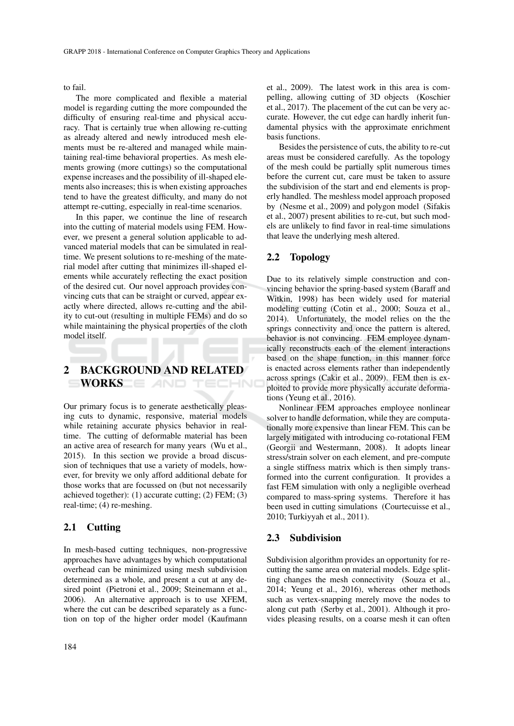to fail.

The more complicated and flexible a material model is regarding cutting the more compounded the difficulty of ensuring real-time and physical accuracy. That is certainly true when allowing re-cutting as already altered and newly introduced mesh elements must be re-altered and managed while maintaining real-time behavioral properties. As mesh elements growing (more cuttings) so the computational expense increases and the possibility of ill-shaped elements also increases; this is when existing approaches tend to have the greatest difficulty, and many do not attempt re-cutting, especially in real-time scenarios.

In this paper, we continue the line of research into the cutting of material models using FEM. However, we present a general solution applicable to advanced material models that can be simulated in realtime. We present solutions to re-meshing of the material model after cutting that minimizes ill-shaped elements while accurately reflecting the exact position of the desired cut. Our novel approach provides convincing cuts that can be straight or curved, appear exactly where directed, allows re-cutting and the ability to cut-out (resulting in multiple FEMs) and do so while maintaining the physical properties of the cloth model itself.

#### 2 BACKGROUND AND RELATED WORKS **EXAMPLE**  $-HN$

Our primary focus is to generate aesthetically pleasing cuts to dynamic, responsive, material models while retaining accurate physics behavior in realtime. The cutting of deformable material has been an active area of research for many years (Wu et al., 2015). In this section we provide a broad discussion of techniques that use a variety of models, however, for brevity we only afford additional debate for those works that are focussed on (but not necessarily achieved together): (1) accurate cutting; (2) FEM; (3) real-time; (4) re-meshing.

## 2.1 Cutting

In mesh-based cutting techniques, non-progressive approaches have advantages by which computational overhead can be minimized using mesh subdivision determined as a whole, and present a cut at any desired point (Pietroni et al., 2009; Steinemann et al., 2006). An alternative approach is to use XFEM, where the cut can be described separately as a function on top of the higher order model (Kaufmann et al., 2009). The latest work in this area is compelling, allowing cutting of 3D objects (Koschier et al., 2017). The placement of the cut can be very accurate. However, the cut edge can hardly inherit fundamental physics with the approximate enrichment basis functions.

Besides the persistence of cuts, the ability to re-cut areas must be considered carefully. As the topology of the mesh could be partially split numerous times before the current cut, care must be taken to assure the subdivision of the start and end elements is properly handled. The meshless model approach proposed by (Nesme et al., 2009) and polygon model (Sifakis et al., 2007) present abilities to re-cut, but such models are unlikely to find favor in real-time simulations that leave the underlying mesh altered.

## 2.2 Topology

Due to its relatively simple construction and convincing behavior the spring-based system (Baraff and Witkin, 1998) has been widely used for material modeling cutting (Cotin et al., 2000; Souza et al., 2014). Unfortunately, the model relies on the the springs connectivity and once the pattern is altered, behavior is not convincing. FEM employee dynamically reconstructs each of the element interactions based on the shape function, in this manner force is enacted across elements rather than independently across springs (Cakir et al., 2009). FEM then is exploited to provide more physically accurate deformations (Yeung et al., 2016).

Nonlinear FEM approaches employee nonlinear solver to handle deformation, while they are computationally more expensive than linear FEM. This can be largely mitigated with introducing co-rotational FEM (Georgii and Westermann, 2008). It adopts linear stress/strain solver on each element, and pre-compute a single stiffness matrix which is then simply transformed into the current configuration. It provides a fast FEM simulation with only a negligible overhead compared to mass-spring systems. Therefore it has been used in cutting simulations (Courtecuisse et al., 2010; Turkiyyah et al., 2011).

### 2.3 Subdivision

Subdivision algorithm provides an opportunity for recutting the same area on material models. Edge splitting changes the mesh connectivity (Souza et al., 2014; Yeung et al., 2016), whereas other methods such as vertex-snapping merely move the nodes to along cut path (Serby et al., 2001). Although it provides pleasing results, on a coarse mesh it can often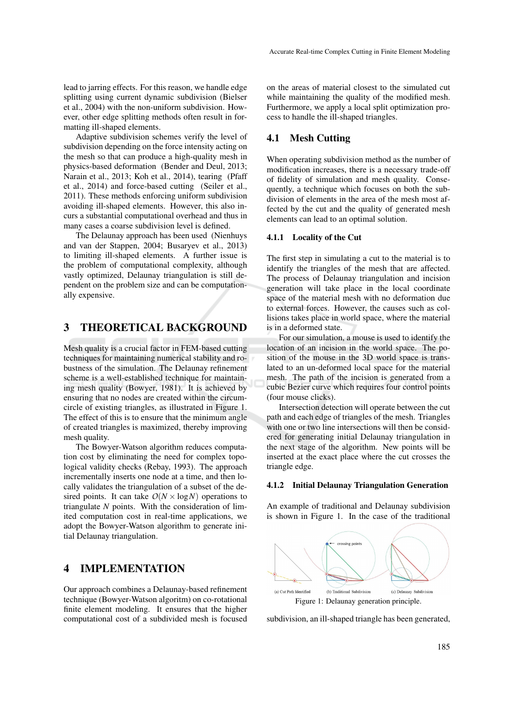lead to jarring effects. For this reason, we handle edge splitting using current dynamic subdivision (Bielser et al., 2004) with the non-uniform subdivision. However, other edge splitting methods often result in formatting ill-shaped elements.

Adaptive subdivision schemes verify the level of subdivision depending on the force intensity acting on the mesh so that can produce a high-quality mesh in physics-based deformation (Bender and Deul, 2013; Narain et al., 2013; Koh et al., 2014), tearing (Pfaff et al., 2014) and force-based cutting (Seiler et al., 2011). These methods enforcing uniform subdivision avoiding ill-shaped elements. However, this also incurs a substantial computational overhead and thus in many cases a coarse subdivision level is defined.

The Delaunay approach has been used (Nienhuys and van der Stappen, 2004; Busaryev et al., 2013) to limiting ill-shaped elements. A further issue is the problem of computational complexity, although vastly optimized, Delaunay triangulation is still dependent on the problem size and can be computationally expensive.

## 3 THEORETICAL BACKGROUND

Mesh quality is a crucial factor in FEM-based cutting techniques for maintaining numerical stability and robustness of the simulation. The Delaunay refinement scheme is a well-established technique for maintaining mesh quality (Bowyer, 1981). It is achieved by ensuring that no nodes are created within the circumcircle of existing triangles, as illustrated in Figure 1. The effect of this is to ensure that the minimum angle of created triangles is maximized, thereby improving mesh quality.

The Bowyer-Watson algorithm reduces computation cost by eliminating the need for complex topological validity checks (Rebay, 1993). The approach incrementally inserts one node at a time, and then locally validates the triangulation of a subset of the desired points. It can take  $O(N \times \log N)$  operations to triangulate *N* points. With the consideration of limited computation cost in real-time applications, we adopt the Bowyer-Watson algorithm to generate initial Delaunay triangulation.

## 4 IMPLEMENTATION

Our approach combines a Delaunay-based refinement technique (Bowyer-Watson algoritm) on co-rotational finite element modeling. It ensures that the higher computational cost of a subdivided mesh is focused

on the areas of material closest to the simulated cut while maintaining the quality of the modified mesh. Furthermore, we apply a local split optimization process to handle the ill-shaped triangles.

## 4.1 Mesh Cutting

When operating subdivision method as the number of modification increases, there is a necessary trade-off of fidelity of simulation and mesh quality. Consequently, a technique which focuses on both the subdivision of elements in the area of the mesh most affected by the cut and the quality of generated mesh elements can lead to an optimal solution.

### 4.1.1 Locality of the Cut

The first step in simulating a cut to the material is to identify the triangles of the mesh that are affected. The process of Delaunay triangulation and incision generation will take place in the local coordinate space of the material mesh with no deformation due to external forces. However, the causes such as collisions takes place in world space, where the material is in a deformed state.

For our simulation, a mouse is used to identify the location of an incision in the world space. The position of the mouse in the 3D world space is translated to an un-deformed local space for the material mesh. The path of the incision is generated from a cubic Bezier curve which requires four control points (four mouse clicks).

Intersection detection will operate between the cut path and each edge of triangles of the mesh. Triangles with one or two line intersections will then be considered for generating initial Delaunay triangulation in the next stage of the algorithm. New points will be inserted at the exact place where the cut crosses the triangle edge.

#### 4.1.2 Initial Delaunay Triangulation Generation

An example of traditional and Delaunay subdivision is shown in Figure 1. In the case of the traditional



subdivision, an ill-shaped triangle has been generated,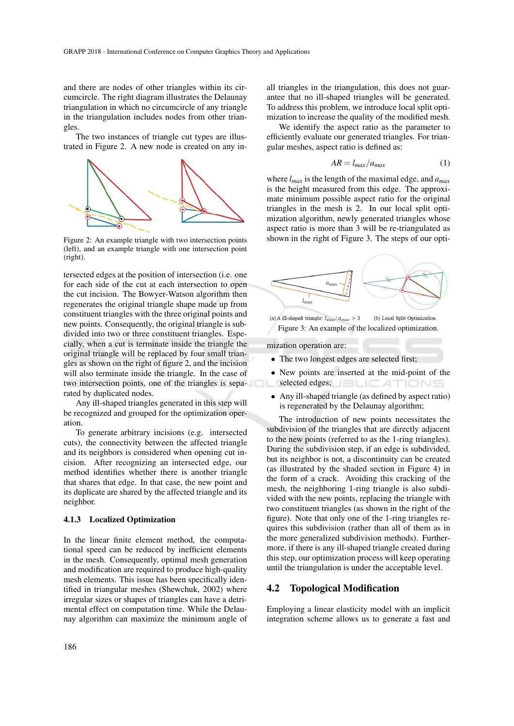and there are nodes of other triangles within its circumcircle. The right diagram illustrates the Delaunay triangulation in which no circumcircle of any triangle in the triangulation includes nodes from other triangles.

The two instances of triangle cut types are illustrated in Figure 2. A new node is created on any in-



Figure 2: An example triangle with two intersection points (left), and an example triangle with one intersection point (right).

tersected edges at the position of intersection (i.e. one for each side of the cut at each intersection to open the cut incision. The Bowyer-Watson algorithm then regenerates the original triangle shape made up from constituent triangles with the three original points and new points. Consequently, the original triangle is subdivided into two or three constituent triangles. Especially, when a cut is terminate inside the triangle the original triangle will be replaced by four small triangles as shown on the right of figure 2, and the incision will also terminate inside the triangle. In the case of two intersection points, one of the triangles is separated by duplicated nodes.

Any ill-shaped triangles generated in this step will be recognized and grouped for the optimization operation.

To generate arbitrary incisions (e.g. intersected cuts), the connectivity between the affected triangle and its neighbors is considered when opening cut incision. After recognizing an intersected edge, our method identifies whether there is another triangle that shares that edge. In that case, the new point and its duplicate are shared by the affected triangle and its neighbor.

#### 4.1.3 Localized Optimization

In the linear finite element method, the computational speed can be reduced by inefficient elements in the mesh. Consequently, optimal mesh generation and modification are required to produce high-quality mesh elements. This issue has been specifically identified in triangular meshes (Shewchuk, 2002) where irregular sizes or shapes of triangles can have a detrimental effect on computation time. While the Delaunay algorithm can maximize the minimum angle of all triangles in the triangulation, this does not guarantee that no ill-shaped triangles will be generated. To address this problem, we introduce local split optimization to increase the quality of the modified mesh.

We identify the aspect ratio as the parameter to efficiently evaluate our generated triangles. For triangular meshes, aspect ratio is defined as:

$$
AR = l_{max}/a_{max} \tag{1}
$$

where *lmax* is the length of the maximal edge, and *amax* is the height measured from this edge. The approximate minimum possible aspect ratio for the original triangles in the mesh is 2. In our local split optimization algorithm, newly generated triangles whose aspect ratio is more than 3 will be re-triangulated as shown in the right of Figure 3. The steps of our opti-



(a) A ill-shaped triangle:  $l_{max}/a_{max} > 3$ (b) Local Split Optimization Figure 3: An example of the localized optimization.

mization operation are:

- The two longest edges are selected first;
- New points are inserted at the mid-point of the selected edges; JELICATIONS
- Any ill-shaped triangle (as defined by aspect ratio) is regenerated by the Delaunay algorithm;

The introduction of new points necessitates the subdivision of the triangles that are directly adjacent to the new points (referred to as the 1-ring triangles). During the subdivision step, if an edge is subdivided, but its neighbor is not, a discontinuity can be created (as illustrated by the shaded section in Figure 4) in the form of a crack. Avoiding this cracking of the mesh, the neighboring 1-ring triangle is also subdivided with the new points, replacing the triangle with two constituent triangles (as shown in the right of the figure). Note that only one of the 1-ring triangles requires this subdivision (rather than all of them as in the more generalized subdivision methods). Furthermore, if there is any ill-shaped triangle created during this step, our optimization process will keep operating until the triangulation is under the acceptable level.

### 4.2 Topological Modification

Employing a linear elasticity model with an implicit integration scheme allows us to generate a fast and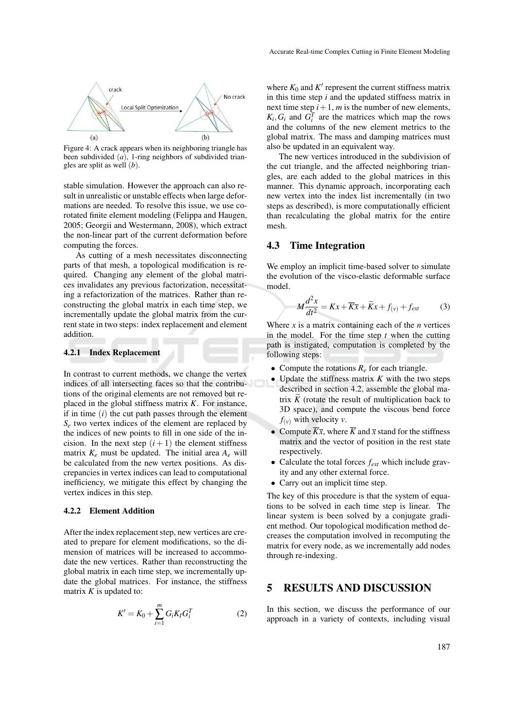

Figure 4: A crack appears when its neighboring triangle has been subdivided (*a*), 1-ring neighbors of subdivided triangles are split as well (*b*).

stable simulation. However the approach can also result in unrealistic or unstable effects when large deformations are needed. To resolve this issue, we use corotated finite element modeling (Felippa and Haugen, 2005; Georgii and Westermann, 2008), which extract the non-linear part of the current deformation before computing the forces.

As cutting of a mesh necessitates disconnecting parts of that mesh, a topological modification is required. Changing any element of the global matrices invalidates any previous factorization, necessitating a refactorization of the matrices. Rather than reconstructing the global matrix in each time step, we incrementally update the global matrix from the current state in two steps: index replacement and element addition.

#### 4.2.1 Index Replacement

In contrast to current methods, we change the vertex indices of all intersecting faces so that the contributions of the original elements are not removed but replaced in the global stiffness matrix *K*. For instance, if in time (*i*) the cut path passes through the element *S<sup>e</sup>* two vertex indices of the element are replaced by the indices of new points to fill in one side of the incision. In the next step  $(i + 1)$  the element stiffness matrix  $K_e$  must be updated. The initial area  $A_e$  will be calculated from the new vertex positions. As discrepancies in vertex indices can lead to computational inefficiency, we mitigate this effect by changing the vertex indices in this step.

#### 4.2.2 Element Addition

After the index replacement step, new vertices are created to prepare for element modifications, so the dimension of matrices will be increased to accommodate the new vertices. Rather than reconstructing the global matrix in each time step, we incrementally update the global matrices. For instance, the stiffness matrix  $K$  is updated to:

$$
K' = K_0 + \sum_{i=1}^{m} G_i K_I G_i^T
$$
 (2)

where  $K_0$  and  $K'$  represent the current stiffness matrix in this time step *i* and the updated stiffness matrix in next time step  $i+1$ , *m* is the number of new elements,  $K_i$ ,  $G_i$  and  $G_i^T$  are the matrices which map the rows and the columns of the new element metrics to the global matrix. The mass and damping matrices must also be updated in an equivalent way.

The new vertices introduced in the subdivision of the cut triangle, and the affected neighboring triangles, are each added to the global matrices in this manner. This dynamic approach, incorporating each new vertex into the index list incrementally (in two steps as described), is more computationally efficient than recalculating the global matrix for the entire mesh.

## 4.3 Time Integration

We employ an implicit time-based solver to simulate the evolution of the visco-elastic deformable surface model.

$$
M\frac{d^2x}{dt^2} = Kx + \overline{Kx} + \widetilde{K}x + f_{(v)} + f_{ext}
$$
 (3)

Where  $x$  is a matrix containing each of the  $n$  vertices in the model. For the time step *t* when the cutting path is instigated, computation is completed by the following steps:

- Compute the rotations *R<sup>e</sup>* for each triangle.
- Update the stiffness matrix *K* with the two steps described in section 4.2, assemble the global matrix  $\tilde{K}$  (rotate the result of multiplication back to 3D space), and compute the viscous bend force  $f_{(\nu)}$  with velocity  $\nu$ .
- Compute  $\overline{K}\overline{x}$ , where  $\overline{K}$  and  $\overline{x}$  stand for the stiffness matrix and the vector of position in the rest state respectively.
- Calculate the total forces *fext* which include gravity and any other external force.
- Carry out an implicit time step.

The key of this procedure is that the system of equations to be solved in each time step is linear. The linear system is been solved by a conjugate gradient method. Our topological modification method decreases the computation involved in recomputing the matrix for every node, as we incrementally add nodes through re-indexing.

## 5 RESULTS AND DISCUSSION

In this section, we discuss the performance of our approach in a variety of contexts, including visual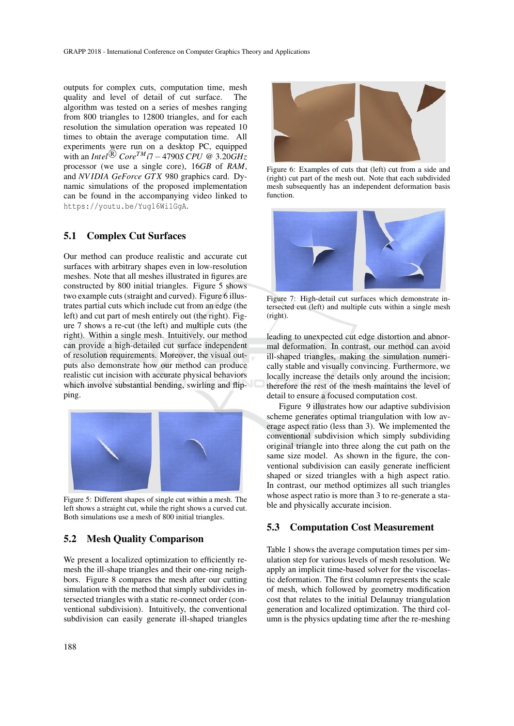outputs for complex cuts, computation time, mesh quality and level of detail of cut surface. The algorithm was tested on a series of meshes ranging from 800 triangles to 12800 triangles, and for each resolution the simulation operation was repeated 10 times to obtain the average computation time. All experiments were run on a desktop PC, equipped with an *Intel*<sup>®</sup>  $Core^{TM}$ *i*7 – 4790*S* CPU @ 3.20*GHz* processor (we use a single core), 16*GB* of *RAM*, and *NV IDIA GeForce GT X* 980 graphics card. Dynamic simulations of the proposed implementation can be found in the accompanying video linked to https://youtu.be/Yug16Wi1GgA.

## 5.1 Complex Cut Surfaces

Our method can produce realistic and accurate cut surfaces with arbitrary shapes even in low-resolution meshes. Note that all meshes illustrated in figures are constructed by 800 initial triangles. Figure 5 shows two example cuts (straight and curved). Figure 6 illustrates partial cuts which include cut from an edge (the left) and cut part of mesh entirely out (the right). Figure 7 shows a re-cut (the left) and multiple cuts (the right). Within a single mesh. Intuitively, our method can provide a high-detailed cut surface independent of resolution requirements. Moreover, the visual outputs also demonstrate how our method can produce realistic cut incision with accurate physical behaviors which involve substantial bending, swirling and flipping.



Figure 5: Different shapes of single cut within a mesh. The left shows a straight cut, while the right shows a curved cut. Both simulations use a mesh of 800 initial triangles.

### 5.2 Mesh Quality Comparison

We present a localized optimization to efficiently remesh the ill-shape triangles and their one-ring neighbors. Figure 8 compares the mesh after our cutting simulation with the method that simply subdivides intersected triangles with a static re-connect order (conventional subdivision). Intuitively, the conventional subdivision can easily generate ill-shaped triangles



Figure 6: Examples of cuts that (left) cut from a side and (right) cut part of the mesh out. Note that each subdivided mesh subsequently has an independent deformation basis function.



Figure 7: High-detail cut surfaces which demonstrate intersected cut (left) and multiple cuts within a single mesh (right).

leading to unexpected cut edge distortion and abnormal deformation. In contrast, our method can avoid ill-shaped triangles, making the simulation numerically stable and visually convincing. Furthermore, we locally increase the details only around the incision; therefore the rest of the mesh maintains the level of detail to ensure a focused computation cost.

Figure 9 illustrates how our adaptive subdivision scheme generates optimal triangulation with low average aspect ratio (less than 3). We implemented the conventional subdivision which simply subdividing original triangle into three along the cut path on the same size model. As shown in the figure, the conventional subdivision can easily generate inefficient shaped or sized triangles with a high aspect ratio. In contrast, our method optimizes all such triangles whose aspect ratio is more than 3 to re-generate a stable and physically accurate incision.

## 5.3 Computation Cost Measurement

Table 1 shows the average computation times per simulation step for various levels of mesh resolution. We apply an implicit time-based solver for the viscoelastic deformation. The first column represents the scale of mesh, which followed by geometry modification cost that relates to the initial Delaunay triangulation generation and localized optimization. The third column is the physics updating time after the re-meshing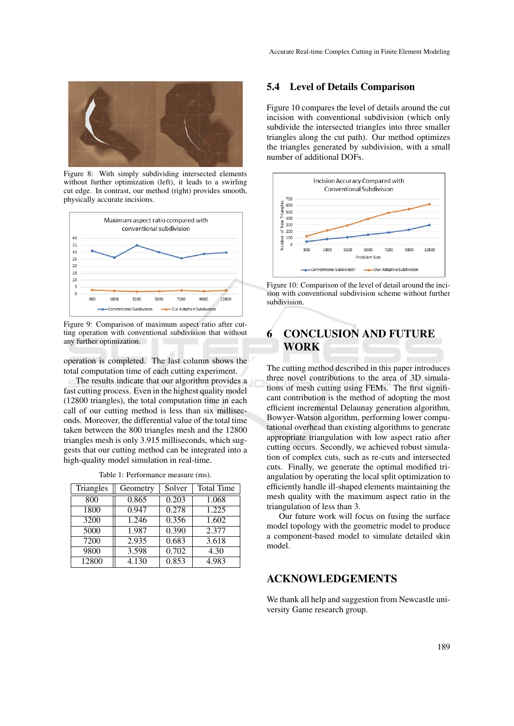

Figure 8: With simply subdividing intersected elements without further optimization (left), it leads to a swirling cut edge. In contrast, our method (right) provides smooth, physically accurate incisions.



Figure 9: Comparison of maximum aspect ratio after cutting operation with conventional subdivision that without any further optimization.

operation is completed. The last column shows the total computation time of each cutting experiment.

The results indicate that our algorithm provides a fast cutting process. Even in the highest quality model (12800 triangles), the total computation time in each call of our cutting method is less than six milliseconds. Moreover, the differential value of the total time taken between the 800 triangles mesh and the 12800 triangles mesh is only 3.915 milliseconds, which suggests that our cutting method can be integrated into a high-quality model simulation in real-time.

| Triangles | Geometry | Solver | <b>Total Time</b> |
|-----------|----------|--------|-------------------|
| 800       | 0.865    | 0.203  | 1.068             |
| 1800      | 0.947    | 0.278  | 1.225             |
| 3200      | 1.246    | 0.356  | 1.602             |
| 5000      | 1.987    | 0.390  | 2.377             |
| 7200      | 2.935    | 0.683  | 3.618             |
| 9800      | 3.598    | 0.702  | 4.30              |
| 12800     | 4.130    | 0.853  | 4.983             |

Table 1: Performance measure (ms).

### 5.4 Level of Details Comparison

Figure 10 compares the level of details around the cut incision with conventional subdivision (which only subdivide the intersected triangles into three smaller triangles along the cut path). Our method optimizes the triangles generated by subdivision, with a small number of additional DOFs.



Figure 10: Comparison of the level of detail around the incision with conventional subdivision scheme without further subdivision.

# 6 CONCLUSION AND FUTURE WORK

The cutting method described in this paper introduces three novel contributions to the area of 3D simulations of mesh cutting using FEMs. The first significant contribution is the method of adopting the most efficient incremental Delaunay generation algorithm, Bowyer-Watson algorithm, performing lower computational overhead than existing algorithms to generate appropriate triangulation with low aspect ratio after cutting occurs. Secondly, we achieved robust simulation of complex cuts, such as re-cuts and intersected cuts. Finally, we generate the optimal modified triangulation by operating the local split optimization to efficiently handle ill-shaped elements maintaining the mesh quality with the maximum aspect ratio in the triangulation of less than 3.

Our future work will focus on fusing the surface model topology with the geometric model to produce a component-based model to simulate detailed skin model.

## ACKNOWLEDGEMENTS

We thank all help and suggestion from Newcastle university Game research group.